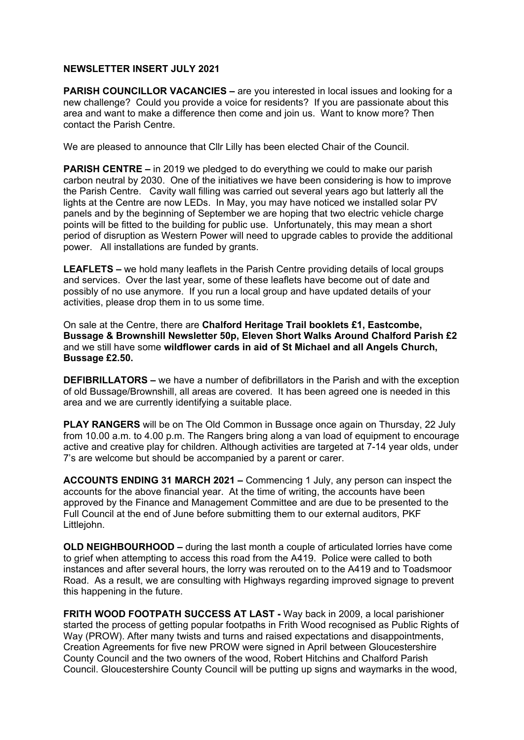## **NEWSLETTER INSERT JULY 2021**

**PARISH COUNCILLOR VACANCIES –** are you interested in local issues and looking for a new challenge? Could you provide a voice for residents? If you are passionate about this area and want to make a difference then come and join us. Want to know more? Then contact the Parish Centre.

We are pleased to announce that Cllr Lilly has been elected Chair of the Council.

**PARISH CENTRE –** in 2019 we pledged to do everything we could to make our parish carbon neutral by 2030. One of the initiatives we have been considering is how to improve the Parish Centre. Cavity wall filling was carried out several years ago but latterly all the lights at the Centre are now LEDs. In May, you may have noticed we installed solar PV panels and by the beginning of September we are hoping that two electric vehicle charge points will be fitted to the building for public use. Unfortunately, this may mean a short period of disruption as Western Power will need to upgrade cables to provide the additional power. All installations are funded by grants.

**LEAFLETS –** we hold many leaflets in the Parish Centre providing details of local groups and services. Over the last year, some of these leaflets have become out of date and possibly of no use anymore. If you run a local group and have updated details of your activities, please drop them in to us some time.

On sale at the Centre, there are **Chalford Heritage Trail booklets £1, Eastcombe, Bussage & Brownshill Newsletter 50p, Eleven Short Walks Around Chalford Parish £2**  and we still have some **wildflower cards in aid of St Michael and all Angels Church, Bussage £2.50.** 

**DEFIBRILLATORS –** we have a number of defibrillators in the Parish and with the exception of old Bussage/Brownshill, all areas are covered. It has been agreed one is needed in this area and we are currently identifying a suitable place.

**PLAY RANGERS** will be on The Old Common in Bussage once again on Thursday, 22 July from 10.00 a.m. to 4.00 p.m. The Rangers bring along a van load of equipment to encourage active and creative play for children. Although activities are targeted at 7-14 year olds, under 7's are welcome but should be accompanied by a parent or carer.

**ACCOUNTS ENDING 31 MARCH 2021 –** Commencing 1 July, any person can inspect the accounts for the above financial year. At the time of writing, the accounts have been approved by the Finance and Management Committee and are due to be presented to the Full Council at the end of June before submitting them to our external auditors, PKF Littlejohn.

**OLD NEIGHBOURHOOD –** during the last month a couple of articulated lorries have come to grief when attempting to access this road from the A419. Police were called to both instances and after several hours, the lorry was rerouted on to the A419 and to Toadsmoor Road. As a result, we are consulting with Highways regarding improved signage to prevent this happening in the future.

**FRITH WOOD FOOTPATH SUCCESS AT LAST -** Way back in 2009, a local parishioner started the process of getting popular footpaths in Frith Wood recognised as Public Rights of Way (PROW). After many twists and turns and raised expectations and disappointments, Creation Agreements for five new PROW were signed in April between Gloucestershire County Council and the two owners of the wood, Robert Hitchins and Chalford Parish Council. Gloucestershire County Council will be putting up signs and waymarks in the wood,